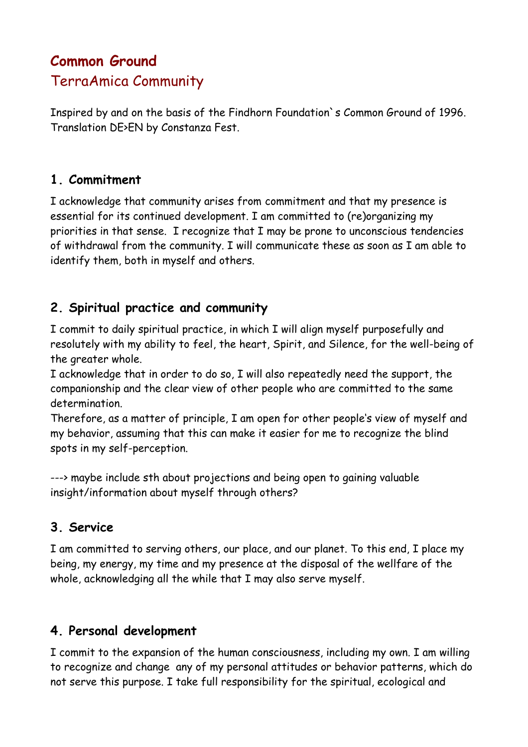# **Common Ground** TerraAmica Community

Inspired by and on the basis of the Findhorn Foundation`s Common Ground of 1996. Translation DE>EN by Constanza Fest.

#### **1. Commitment**

I acknowledge that community arises from commitment and that my presence is essential for its continued development. I am committed to (re)organizing my priorities in that sense. I recognize that I may be prone to unconscious tendencies of withdrawal from the community. I will communicate these as soon as I am able to identify them, both in myself and others.

### **2. Spiritual practice and community**

I commit to daily spiritual practice, in which I will align myself purposefully and resolutely with my ability to feel, the heart, Spirit, and Silence, for the well-being of the greater whole.

I acknowledge that in order to do so, I will also repeatedly need the support, the companionship and the clear view of other people who are committed to the same determination.

Therefore, as a matter of principle, I am open for other people's view of myself and my behavior, assuming that this can make it easier for me to recognize the blind spots in my self-perception.

---> maybe include sth about projections and being open to gaining valuable insight/information about myself through others?

# **3. Service**

I am committed to serving others, our place, and our planet. To this end, I place my being, my energy, my time and my presence at the disposal of the wellfare of the whole, acknowledging all the while that I may also serve myself.

#### **4. Personal development**

I commit to the expansion of the human consciousness, including my own. I am willing to recognize and change any of my personal attitudes or behavior patterns, which do not serve this purpose. I take full responsibility for the spiritual, ecological and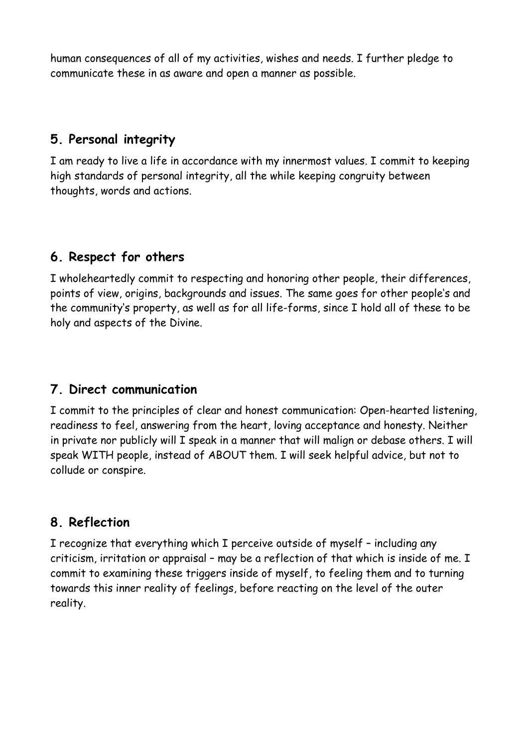human consequences of all of my activities, wishes and needs. I further pledge to communicate these in as aware and open a manner as possible.

# **5. Personal integrity**

I am ready to live a life in accordance with my innermost values. I commit to keeping high standards of personal integrity, all the while keeping congruity between thoughts, words and actions.

# **6. Respect for others**

I wholeheartedly commit to respecting and honoring other people, their differences, points of view, origins, backgrounds and issues. The same goes for other people's and the community's property, as well as for all life-forms, since I hold all of these to be holy and aspects of the Divine.

#### **7. Direct communication**

I commit to the principles of clear and honest communication: Open-hearted listening, readiness to feel, answering from the heart, loving acceptance and honesty. Neither in private nor publicly will I speak in a manner that will malign or debase others. I will speak WITH people, instead of ABOUT them. I will seek helpful advice, but not to collude or conspire.

# **8. Reflection**

I recognize that everything which I perceive outside of myself – including any criticism, irritation or appraisal – may be a reflection of that which is inside of me. I commit to examining these triggers inside of myself, to feeling them and to turning towards this inner reality of feelings, before reacting on the level of the outer reality.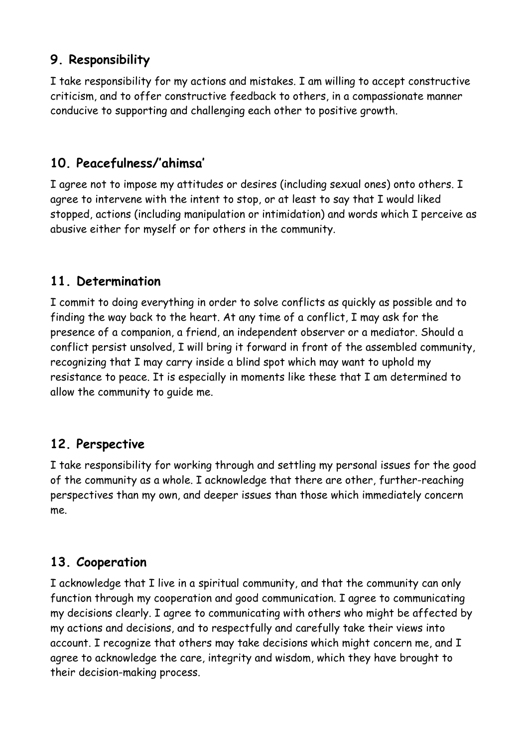# **9. Responsibility**

I take responsibility for my actions and mistakes. I am willing to accept constructive criticism, and to offer constructive feedback to others, in a compassionate manner conducive to supporting and challenging each other to positive growth.

# **10. Peacefulness/'ahimsa'**

I agree not to impose my attitudes or desires (including sexual ones) onto others. I agree to intervene with the intent to stop, or at least to say that I would liked stopped, actions (including manipulation or intimidation) and words which I perceive as abusive either for myself or for others in the community.

#### **11. Determination**

I commit to doing everything in order to solve conflicts as quickly as possible and to finding the way back to the heart. At any time of a conflict, I may ask for the presence of a companion, a friend, an independent observer or a mediator. Should a conflict persist unsolved, I will bring it forward in front of the assembled community, recognizing that I may carry inside a blind spot which may want to uphold my resistance to peace. It is especially in moments like these that I am determined to allow the community to guide me.

#### **12. Perspective**

I take responsibility for working through and settling my personal issues for the good of the community as a whole. I acknowledge that there are other, further-reaching perspectives than my own, and deeper issues than those which immediately concern me.

#### **13. Cooperation**

I acknowledge that I live in a spiritual community, and that the community can only function through my cooperation and good communication. I agree to communicating my decisions clearly. I agree to communicating with others who might be affected by my actions and decisions, and to respectfully and carefully take their views into account. I recognize that others may take decisions which might concern me, and I agree to acknowledge the care, integrity and wisdom, which they have brought to their decision-making process.